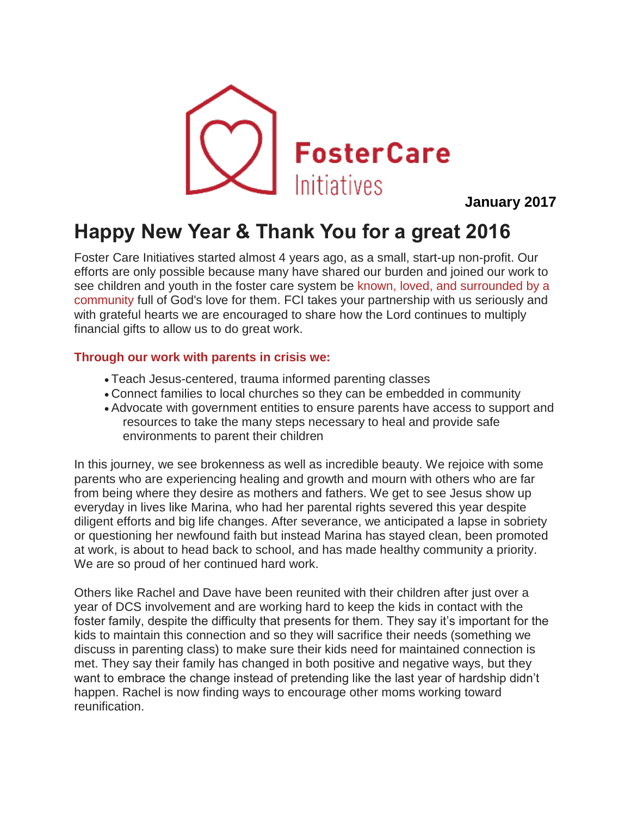

 **January 2017**

## **Happy New Year & Thank You for a great 2016**

Foster Care Initiatives started almost 4 years ago, as a small, start-up non-profit. Our efforts are only possible because many have shared our burden and joined our work to see children and youth in the foster care system be known, loved, and surrounded by a community full of God's love for them. FCI takes your partnership with us seriously and with grateful hearts we are encouraged to share how the Lord continues to multiply financial gifts to allow us to do great work.

## **Through our work with parents in crisis we:**

- Teach Jesus-centered, trauma informed parenting classes
- Connect families to local churches so they can be embedded in community
- Advocate with government entities to ensure parents have access to support and resources to take the many steps necessary to heal and provide safe environments to parent their children

In this journey, we see brokenness as well as incredible beauty. We rejoice with some parents who are experiencing healing and growth and mourn with others who are far from being where they desire as mothers and fathers. We get to see Jesus show up everyday in lives like Marina, who had her parental rights severed this year despite diligent efforts and big life changes. After severance, we anticipated a lapse in sobriety or questioning her newfound faith but instead Marina has stayed clean, been promoted at work, is about to head back to school, and has made healthy community a priority. We are so proud of her continued hard work.

Others like Rachel and Dave have been reunited with their children after just over a year of DCS involvement and are working hard to keep the kids in contact with the foster family, despite the difficulty that presents for them. They say it's important for the kids to maintain this connection and so they will sacrifice their needs (something we discuss in parenting class) to make sure their kids need for maintained connection is met. They say their family has changed in both positive and negative ways, but they want to embrace the change instead of pretending like the last year of hardship didn't happen. Rachel is now finding ways to encourage other moms working toward reunification.